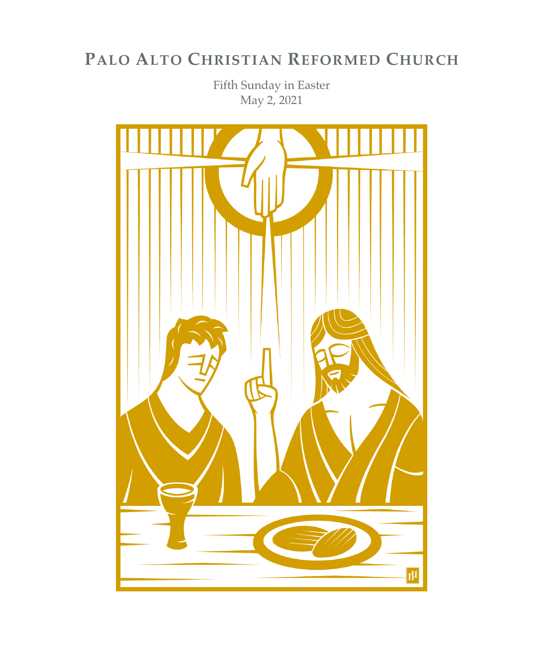# **PALO ALTO CHRISTIAN REFORMED CHURCH**

Fifth Sunday in Easter May 2, 2021

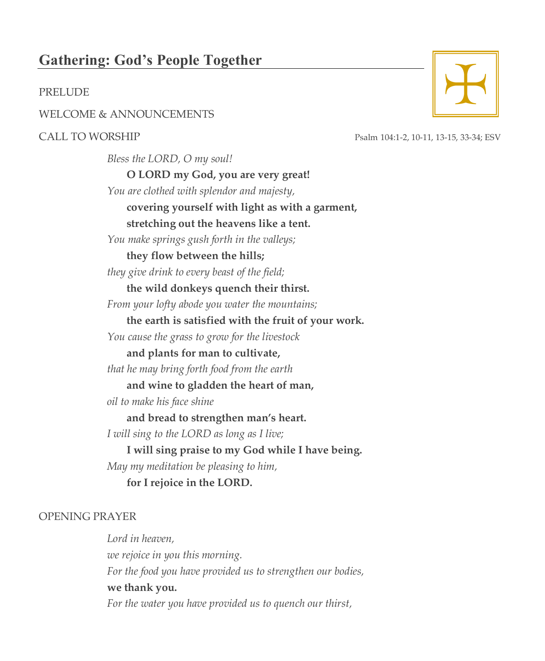## **Gathering: God's People Together**

#### PRELUDE

WELCOME & ANNOUNCEMENTS

*Bless the LORD, O my soul!*  **O LORD my God, you are very great!** *You are clothed with splendor and majesty,* **covering yourself with light as with a garment, stretching out the heavens like a tent.** *You make springs gush forth in the valleys;* **they flow between the hills;** *they give drink to every beast of the field;* **the wild donkeys quench their thirst.** *From your lofty abode you water the mountains;* **the earth is satisfied with the fruit of your work.** *You cause the grass to grow for the livestock* **and plants for man to cultivate,** *that he may bring forth food from the earth* **and wine to gladden the heart of man,** *oil to make his face shine* **and bread to strengthen man's heart.** *I will sing to the LORD as long as I live;* **I will sing praise to my God while I have being.** *May my meditation be pleasing to him,* **for I rejoice in the LORD.**

#### OPENING PRAYER

*Lord in heaven, we rejoice in you this morning. For the food you have provided us to strengthen our bodies,* **we thank you.** *For the water you have provided us to quench our thirst,*



CALL TO WORSHIP Psalm 104:1-2, 10-11, 13-15, 33-34; ESV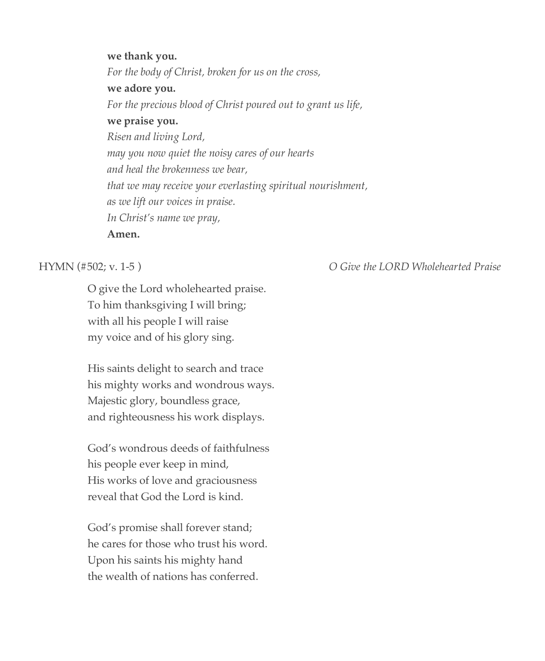**we thank you.** *For the body of Christ, broken for us on the cross,* **we adore you.** *For the precious blood of Christ poured out to grant us life,* **we praise you.** *Risen and living Lord, may you now quiet the noisy cares of our hearts and heal the brokenness we bear, that we may receive your everlasting spiritual nourishment, as we lift our voices in praise. In Christ's name we pray,* **Amen.**

O give the Lord wholehearted praise. To him thanksgiving I will bring; with all his people I will raise my voice and of his glory sing.

His saints delight to search and trace his mighty works and wondrous ways. Majestic glory, boundless grace, and righteousness his work displays.

God's wondrous deeds of faithfulness his people ever keep in mind, His works of love and graciousness reveal that God the Lord is kind.

God's promise shall forever stand; he cares for those who trust his word. Upon his saints his mighty hand the wealth of nations has conferred.

HYMN (#502; v. 1-5 ) *O Give the LORD Wholehearted Praise*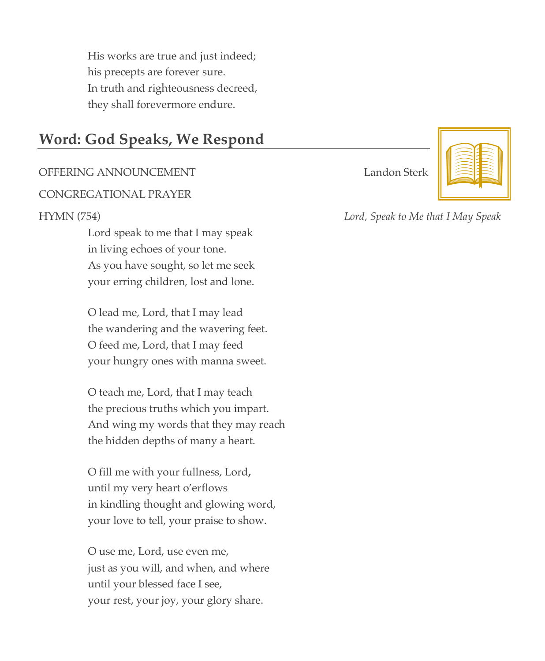His works are true and just indeed; his precepts are forever sure. In truth and righteousness decreed, they shall forevermore endure.

## **Word: God Speaks, We Respond**

### OFFERING ANNOUNCEMENT Landon Sterk

#### CONGREGATIONAL PRAYER

Lord speak to me that I may speak in living echoes of your tone. As you have sought, so let me seek your erring children, lost and lone.

O lead me, Lord, that I may lead the wandering and the wavering feet. O feed me, Lord, that I may feed your hungry ones with manna sweet.

O teach me, Lord, that I may teach the precious truths which you impart. And wing my words that they may reach the hidden depths of many a heart.

O fill me with your fullness, Lord**,** until my very heart o'erflows in kindling thought and glowing word, your love to tell, your praise to show.

O use me, Lord, use even me, just as you will, and when, and where until your blessed face I see, your rest, your joy, your glory share.



HYMN (754) *Lord, Speak to Me that I May Speak*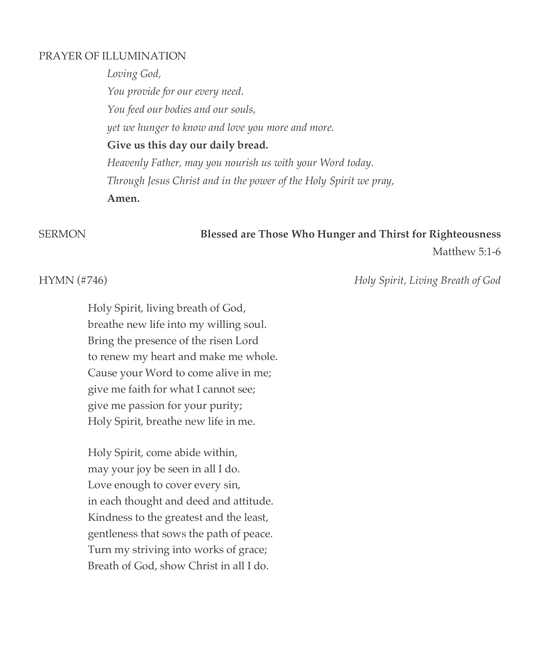### PRAYER OF ILLUMINATION

*Loving God, You provide for our every need. You feed our bodies and our souls, yet we hunger to know and love you more and more.* **Give us this day our daily bread.** *Heavenly Father, may you nourish us with your Word today. Through Jesus Christ and in the power of the Holy Spirit we pray,* **Amen.**

## SERMON **Blessed are Those Who Hunger and Thirst for Righteousness**

Matthew 5:1-6

HYMN (#746) *Holy Spirit, Living Breath of God*

Holy Spirit, living breath of God, breathe new life into my willing soul. Bring the presence of the risen Lord to renew my heart and make me whole. Cause your Word to come alive in me; give me faith for what I cannot see; give me passion for your purity; Holy Spirit, breathe new life in me.

Holy Spirit, come abide within, may your joy be seen in all I do. Love enough to cover every sin, in each thought and deed and attitude. Kindness to the greatest and the least, gentleness that sows the path of peace. Turn my striving into works of grace; Breath of God, show Christ in all I do.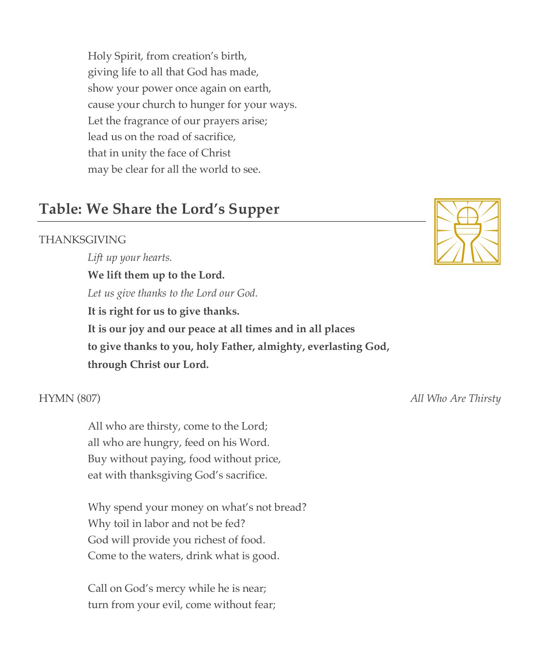Holy Spirit, from creation's birth, giving life to all that God has made, show your power once again on earth, cause your church to hunger for your ways. Let the fragrance of our prayers arise; lead us on the road of sacrifice, that in unity the face of Christ may be clear for all the world to see.

## **Table: We Share the Lord's Supper**

### THANKSGIVING

*Lift up your hearts.* **We lift them up to the Lord.** *Let us give thanks to the Lord our God.* **It is right for us to give thanks. It is our joy and our peace at all times and in all places to give thanks to you, holy Father, almighty, everlasting God, through Christ our Lord.**

All who are thirsty, come to the Lord; all who are hungry, feed on his Word. Buy without paying, food without price, eat with thanksgiving God's sacrifice.

Why spend your money on what's not bread? Why toil in labor and not be fed? God will provide you richest of food. Come to the waters, drink what is good.

Call on God's mercy while he is near; turn from your evil, come without fear;



HYMN (807) *All Who Are Thirsty*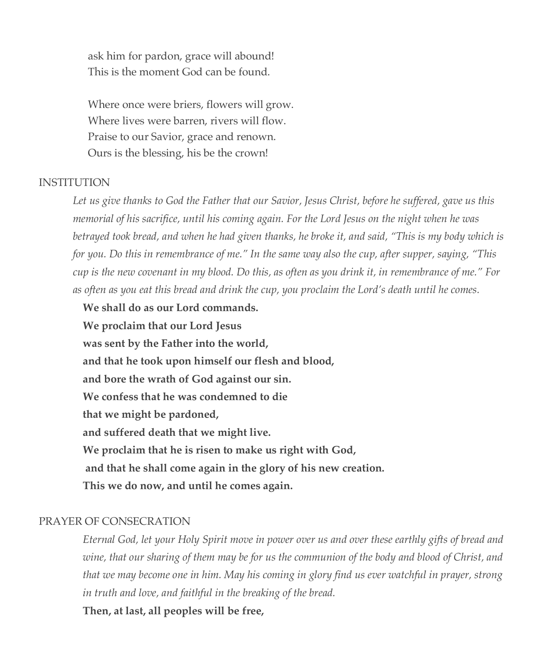ask him for pardon, grace will abound! This is the moment God can be found.

Where once were briers, flowers will grow. Where lives were barren, rivers will flow. Praise to our Savior, grace and renown. Ours is the blessing, his be the crown!

#### INSTITUTION

*Let us give thanks to God the Father that our Savior, Jesus Christ, before he suffered, gave us this memorial of his sacrifice, until his coming again. For the Lord Jesus on the night when he was betrayed took bread, and when he had given thanks, he broke it, and said, "This is my body which is for you. Do this in remembrance of me." In the same way also the cup, after supper, saying, "This cup is the new covenant in my blood. Do this, as often as you drink it, in remembrance of me." For as often as you eat this bread and drink the cup, you proclaim the Lord's death until he comes.*

**We shall do as our Lord commands. We proclaim that our Lord Jesus was sent by the Father into the world, and that he took upon himself our flesh and blood, and bore the wrath of God against our sin. We confess that he was condemned to die that we might be pardoned, and suffered death that we might live. We proclaim that he is risen to make us right with God, and that he shall come again in the glory of his new creation. This we do now, and until he comes again.**

#### PRAYER OF CONSECRATION

*Eternal God, let your Holy Spirit move in power over us and over these earthly gifts of bread and wine, that our sharing of them may be for us the communion of the body and blood of Christ, and that we may become one in him. May his coming in glory find us ever watchful in prayer, strong in truth and love, and faithful in the breaking of the bread.*

**Then, at last, all peoples will be free,**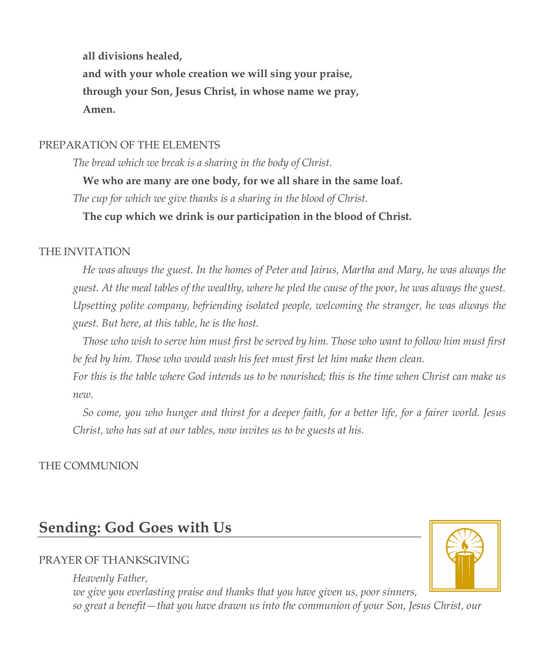**all divisions healed, and with your whole creation we will sing your praise, through your Son, Jesus Christ, in whose name we pray, Amen.** 

### PREPARATION OF THE ELEMENTS

*The bread which we break is a sharing in the body of Christ.*

**We who are many are one body, for we all share in the same loaf.** 

*The cup for which we give thanks is a sharing in the blood of Christ.*

**The cup which we drink is our participation in the blood of Christ.**

### THE INVITATION

*He was always the guest. In the homes of Peter and Jairus, Martha and Mary, he was always the guest. At the meal tables of the wealthy, where he pled the cause of the poor, he was always the guest. Upsetting polite company, befriending isolated people, welcoming the stranger, he was always the guest. But here, at this table, he is the host.*

*Those who wish to serve him must first be served by him. Those who want to follow him must first be fed by him. Those who would wash his feet must first let him make them clean.*

*For this is the table where God intends us to be nourished; this is the time when Christ can make us new.* 

*So come, you who hunger and thirst for a deeper faith, for a better life, for a fairer world. Jesus Christ, who has sat at our tables, now invites us to be guests at his.* 

### THE COMMUNION

## **Sending: God Goes with Us**

### PRAYER OF THANKSGIVING

*Heavenly Father, we give you everlasting praise and thanks that you have given us, poor sinners, so great a benefit—that you have drawn us into the communion of your Son, Jesus Christ, our*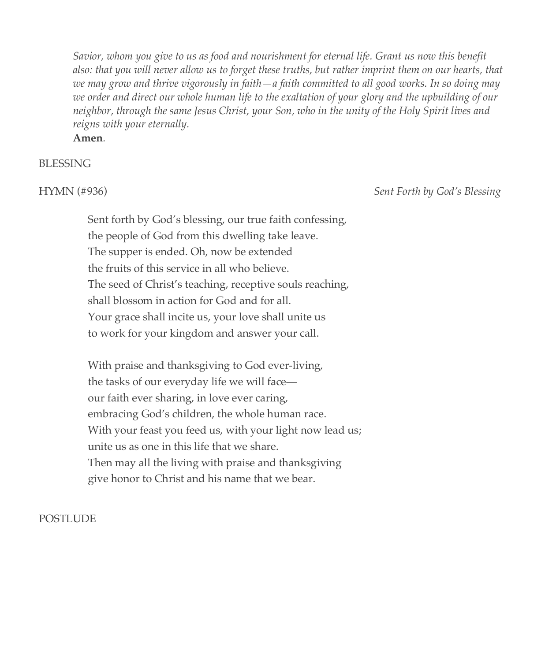*Savior, whom you give to us as food and nourishment for eternal life. Grant us now this benefit also: that you will never allow us to forget these truths, but rather imprint them on our hearts, that we may grow and thrive vigorously in faith—a faith committed to all good works. In so doing may we order and direct our whole human life to the exaltation of your glory and the upbuilding of our neighbor, through the same Jesus Christ, your Son, who in the unity of the Holy Spirit lives and reigns with your eternally.* 

**Amen***.*

### BLESSING

HYMN (#936) *Sent Forth by God's Blessing*

Sent forth by God's blessing, our true faith confessing, the people of God from this dwelling take leave. The supper is ended. Oh, now be extended the fruits of this service in all who believe. The seed of Christ's teaching, receptive souls reaching, shall blossom in action for God and for all. Your grace shall incite us, your love shall unite us to work for your kingdom and answer your call.

With praise and thanksgiving to God ever-living, the tasks of our everyday life we will face our faith ever sharing, in love ever caring, embracing God's children, the whole human race. With your feast you feed us, with your light now lead us; unite us as one in this life that we share. Then may all the living with praise and thanksgiving give honor to Christ and his name that we bear.

### POSTLUDE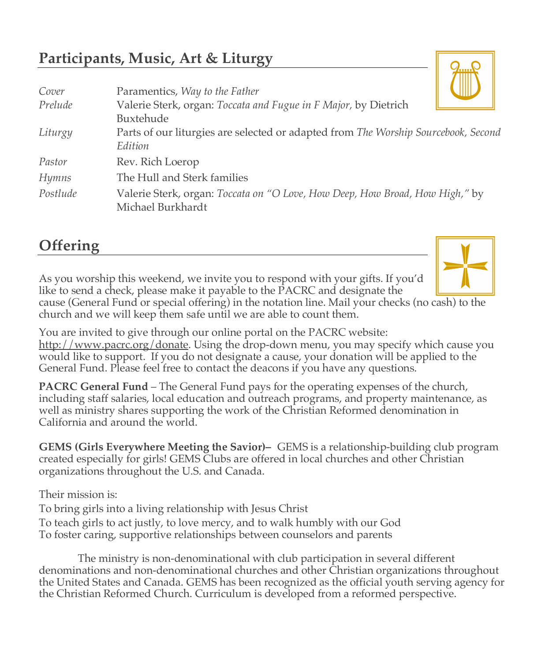# **Participants, Music, Art & Liturgy**

| Cover    | Paramentics, Way to the Father                                                                    |
|----------|---------------------------------------------------------------------------------------------------|
| Prelude  | Valerie Sterk, organ: Toccata and Fugue in F Major, by Dietrich                                   |
|          | Buxtehude                                                                                         |
| Liturgy  | Parts of our liturgies are selected or adapted from The Worship Sourcebook, Second                |
|          | Edition                                                                                           |
| Pastor   | Rev. Rich Loerop                                                                                  |
| Hymns    | The Hull and Sterk families                                                                       |
| Postlude | Valerie Sterk, organ: Toccata on "O Love, How Deep, How Broad, How High," by<br>Michael Burkhardt |

# **Offering**

As you worship this weekend, we invite you to respond with your gifts. If you'd like to send a check, please make it payable to the PACRC and designate the cause (General Fund or special offering) in the notation line. Mail your checks (no cash) to the

church and we will keep them safe until we are able to count them.

You are invited to give through our online portal on the PACRC website: http://www.pacrc.org/donate. Using the drop-down menu, you may specify which cause you would like to support. If you do not designate a cause, your donation will be applied to the General Fund. Please feel free to contact the deacons if you have any questions.

**PACRC General Fund** – The General Fund pays for the operating expenses of the church, including staff salaries, local education and outreach programs, and property maintenance, as well as ministry shares supporting the work of the Christian Reformed denomination in California and around the world.

**GEMS (Girls Everywhere Meeting the Savior)–** GEMS is a relationship-building club program created especially for girls! GEMS Clubs are offered in local churches and other Christian organizations throughout the U.S. and Canada.

Their mission is:

To bring girls into a living relationship with Jesus Christ

To teach girls to act justly, to love mercy, and to walk humbly with our God To foster caring, supportive relationships between counselors and parents

The ministry is non-denominational with club participation in several different denominations and non-denominational churches and other Christian organizations throughout the United States and Canada. GEMS has been recognized as the official youth serving agency for the Christian Reformed Church. Curriculum is developed from a reformed perspective.



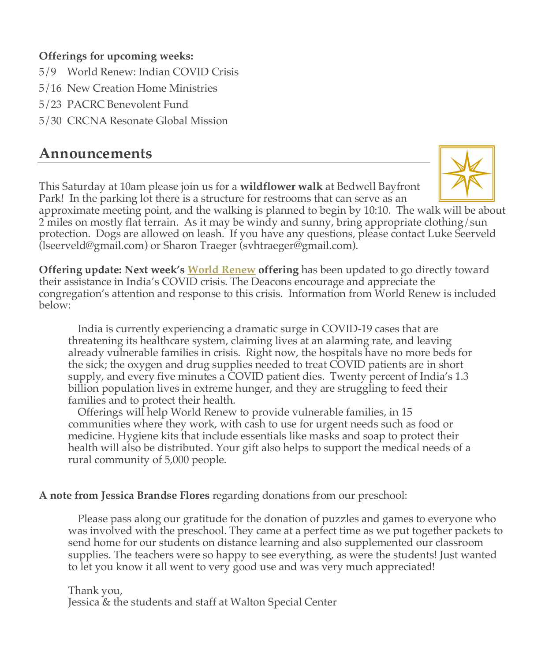### **Offerings for upcoming weeks:**

- 5/9 World Renew: Indian COVID Crisis
- 5/16 New Creation Home Ministries
- 5/23 PACRC Benevolent Fund
- 5/30 CRCNA Resonate Global Mission

## **Announcements**

This Saturday at 10am please join us for a **wildflower walk** at Bedwell Bayfront Park! In the parking lot there is a structure for restrooms that can serve as an



approximate meeting point, and the walking is planned to begin by 10:10. The walk will be about 2 miles on mostly flat terrain. As it may be windy and sunny, bring appropriate clothing/sun protection. Dogs are allowed on leash. If you have any questions, please contact Luke Seerveld (lseerveld@gmail.com) or Sharon Traeger (svhtraeger@gmail.com).

**Offering update: Next week's World Renew offering** has been updated to go directly toward their assistance in India's COVID crisis. The Deacons encourage and appreciate the congregation's attention and response to this crisis. Information from World Renew is included below:

India is currently experiencing a dramatic surge in COVID-19 cases that are threatening its healthcare system, claiming lives at an alarming rate, and leaving already vulnerable families in crisis. Right now, the hospitals have no more beds for the sick; the oxygen and drug supplies needed to treat COVID patients are in short supply, and every five minutes a COVID patient dies. Twenty percent of India's 1.3 billion population lives in extreme hunger, and they are struggling to feed their families and to protect their health.

Offerings will help World Renew to provide vulnerable families, in 15 communities where they work, with cash to use for urgent needs such as food or medicine. Hygiene kits that include essentials like masks and soap to protect their health will also be distributed. Your gift also helps to support the medical needs of a rural community of 5,000 people.

### **A note from Jessica Brandse Flores** regarding donations from our preschool:

Please pass along our gratitude for the donation of puzzles and games to everyone who was involved with the preschool. They came at a perfect time as we put together packets to send home for our students on distance learning and also supplemented our classroom supplies. The teachers were so happy to see everything, as were the students! Just wanted to let you know it all went to very good use and was very much appreciated!

Thank you, Jessica & the students and staff at Walton Special Center